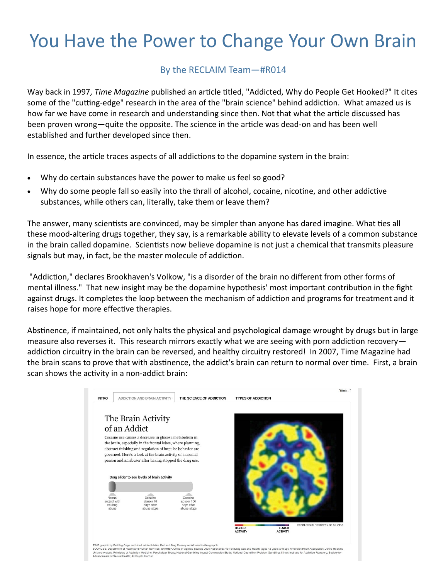## You Have the Power to Change Your Own Brain

## By the RECLAIM Team—#R014

Way back in 1997, *Time Magazine* published an article titled, ["Addicted, Why do People Get Hooked?"](http://www.time.com/time/magazine/article/0,9171,986282-2,00.html) It cites some of the "cutting-edge" research in the area of the "brain science" behind addiction. What amazed us is how far we have come in research and understanding since then. Not that what the article discussed has been proven wrong—quite the opposite. The science in the article was dead-on and has been well established and further developed since then.

In essence, the article traces aspects of all addictions to the dopamine system in the brain:

- Why do certain substances have the power to make us feel so good?
- Why do some people fall so easily into the thrall of alcohol, cocaine, nicotine, and other addictive substances, while others can, literally, take them or leave them?

The answer, many scientists are convinced, may be simpler than anyone has dared imagine. What ties all these mood-altering drugs together, they say, is a remarkable ability to elevate levels of a common substance in the brain called dopamine. Scientists now believe dopamine is not just a chemical that transmits pleasure signals but may, in fact, be the master molecule of addiction.

"Addiction," declares Brookhaven's Volkow, "is a disorder of the brain no different from other forms of mental illness." That new insight may be the dopamine hypothesis' most important contribution in the fight against drugs. It completes the loop between the mechanism of addiction and programs for treatment and it raises hope for more effective therapies.

Abstinence, if maintained, not only halts the physical and psychological damage wrought by drugs but in large measure also reverses it. This research mirrors exactly what we are seeing with porn addiction recovery addiction circuitry in the brain can be reversed, and healthy circuitry restored! In 2007, [Time Magazine had](http://www.time.com/time/interactive/0,31813,1640235,00.html)  [the brain scans](http://www.time.com/time/interactive/0,31813,1640235,00.html) to prove that with abstinence, the addict's brain can return to normal over time. First, a brain scan shows the activity in a non-addict brain: